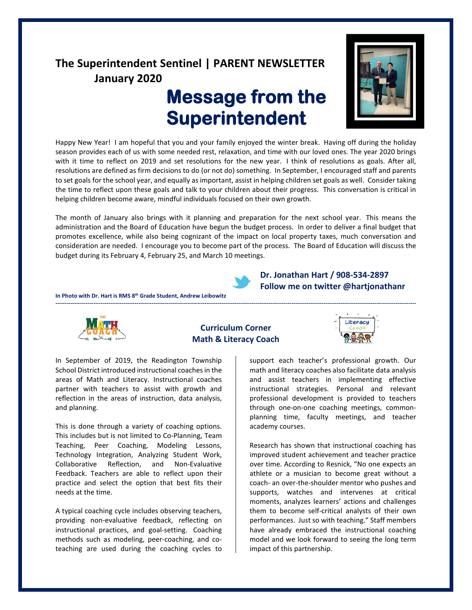# **The Superintendent Sentinel | PARENT NEWSLETTER January 2020**

# **Message from the Superintendent**



Happy New Year! I am hopeful that you and your family enjoyed the winter break. Having off during the holiday season provides each of us with some needed rest, relaxation, and time with our loved ones. The year 2020 brings with it time to reflect on 2019 and set resolutions for the new year. I think of resolutions as goals. After all, resolutions are defined as firm decisions to do (or not do) something. In September, I encouraged staff and parents to set goals for the school year, and equally as important, assist in helping children set goals as well. Consider taking the time to reflect upon these goals and talk to your children about their progress. This conversation is critical in helping children become aware, mindful individuals focused on their own growth.

The month of January also brings with it planning and preparation for the next school year. This means the administration and the Board of Education have begun the budget process. In order to deliver a final budget that promotes excellence, while also being cognizant of the impact on local property taxes, much conversation and consideration are needed. I encourage you to become part of the process. The Board of Education will discuss the budget during its February 4, February 25, and March 10 meetings.



 **Dr. Jonathan Hart / 908-534-2897 Follow me on twitter @hartjonathanr** In Photo with Dr. Hart is RMS 8<sup>th</sup> Grade Student, Andrew Leibowitz



and planning.

## **Curriculum Corner Math & Literacy Coach**

**-----------------------------------------------------------------------------------------------------------------------------------------------------------------------------------------------**



In September of 2019, the Readington Township School District introduced instructional coaches in the areas of Math and Literacy. Instructional coaches partner with teachers to assist with growth and reflection in the areas of instruction, data analysis,

This is done through a variety of coaching options. This includes but is not limited to Co-Planning, Team Teaching, Peer Coaching, Modeling Lessons, Technology Integration, Analyzing Student Work, Collaborative Reflection, and Non-Evaluative Feedback. Teachers are able to reflect upon their practice and select the option that best fits their needs at the time.

A typical coaching cycle includes observing teachers, providing non-evaluative feedback, reflecting on instructional practices, and goal-setting. Coaching methods such as modeling, peer-coaching, and coteaching are used during the coaching cycles to

support each teacher's professional growth. Our math and literacy coaches also facilitate data analysis and assist teachers in implementing effective instructional strategies. Personal and relevant professional development is provided to teachers through one-on-one coaching meetings, commonplanning time, faculty meetings, and teacher academy courses.

Research has shown that instructional coaching has improved student achievement and teacher practice over time. According to Resnick, "No one expects an athlete or a musician to become great without a coach- an over-the-shoulder mentor who pushes and supports, watches and intervenes at critical moments, analyzes learners' actions and challenges them to become self-critical analysts of their own performances. Just so with teaching." Staff members have already embraced the instructional coaching model and we look forward to seeing the long term impact of this partnership.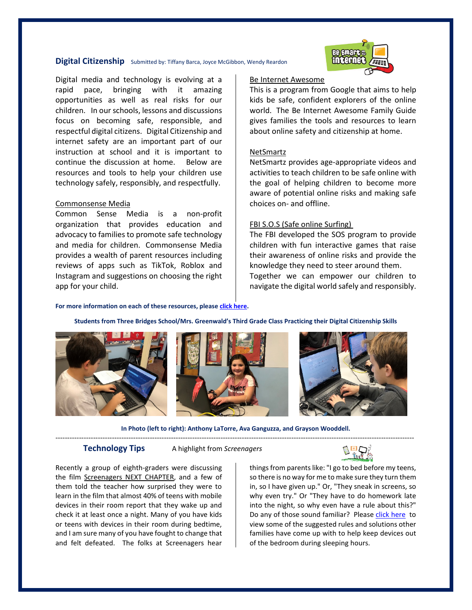### **Digital Citizenship** Submitted by: Tiffany Barca, Joyce McGibbon, Wendy Reardon



Digital media and technology is evolving at a rapid pace, bringing with it amazing opportunities as well as real risks for our children. In our schools, lessons and discussions focus on becoming safe, responsible, and respectful digital citizens. Digital Citizenship and internet safety are an important part of our instruction at school and it is important to continue the discussion at home. Below are resources and tools to help your children use technology safely, responsibly, and respectfully.

#### [Commonsense Media](https://www.commonsense.org/)

Common Sense Media is a non-profit organization that provides education and advocacy to families to promote safe technology and media for children. Commonsense Media provides a wealth of parent resources including reviews of apps such as TikTok, Roblox and Instagram and suggestions on choosing the right app for your child.

#### [Be Internet Awesome](https://beinternetawesome.withgoogle.com/en_us/families)

This is a program from Google that aims to help kids be safe, confident explorers of the online world. The Be Internet Awesome Family Guide gives families the tools and resources to learn about online safety and citizenship at home.

#### [NetSmartz](https://www.missingkids.org/NetSmartz)

NetSmartz provides age-appropriate videos and activities to teach children to be safe online with the goal of helping children to become more aware of potential online risks and making safe choices on- and offline.

#### [FBI S.O.S \(Safe online Surfing\)](https://www.fbi.gov/news/stories/safe-online-surfing-challenge-opens-090519)

The FBI developed the SOS program to provide children with fun interactive games that raise their awareness of online risks and provide the knowledge they need to steer around them. Together we can empower our children to navigate the digital world safely and responsibly.

#### **For more information on each of these resources, please [click here.](https://www.readington.k12.nj.us/Page/6517)**

#### **Students from Three Bridges School/Mrs. Greenwald's Third Grade Class Practicing their Digital Citizenship Skills**







**In Photo (left to right): Anthony LaTorre, Ava Ganguzza, and Grayson Wooddell.**

**Technology Tips** A highlight from *Screenagers*



Recently a group of eighth-graders were discussing the film Screenagers NEXT CHAPTER, and a few of them told the teacher how surprised they were to learn in the film that almost 40% of teens with mobile devices in their room report that they wake up and check it at least once a night. Many of you have kids or teens with devices in their room during bedtime, and I am sure many of you have fought to change that and felt defeated. The folks at Screenagers hear

things from parents like: "I go to bed before my teens, so there is no way for me to make sure they turn them in, so I have given up." Or, "They sneak in screens, so why even try." Or "They have to do homework late into the night, so why even have a rule about this?" Do any of those sound familiar? Pleas[e click here](https://www.screenagersmovie.com/tech-talk-tuesdays/people-share-rules-for-screens-and-sleep?utm_source=Indie+Streak&utm_campaign=19604f6576-EMAIL_CAMPAIGN_2019_10_01_05_47_COPY_07&utm_medium=email&utm_term=0_3dc2dfef78-19604f6576-160893681&mc_cid=19604f6576&mc_eid=adc82278d1) to view some of the suggested rules and solutions other families have come up with to help keep devices out of the bedroom during sleeping hours.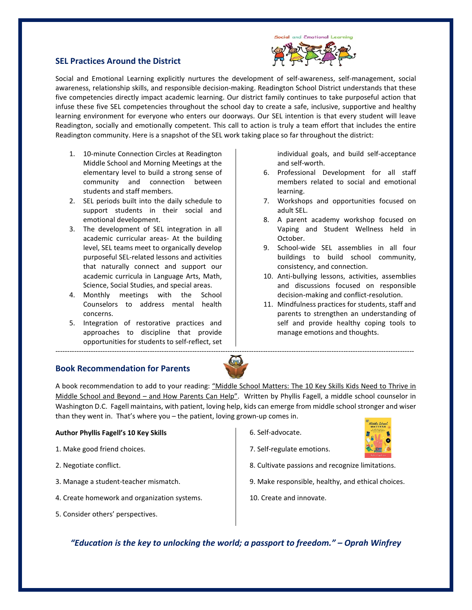#### **Social** and Emotional Learning



#### **SEL Practices Around the District**

Social and Emotional Learning explicitly nurtures the development of self-awareness, self-management, social awareness, relationship skills, and responsible decision-making. Readington School District understands that these five competencies directly impact academic learning. Our district family continues to take purposeful action that infuse these five SEL competencies throughout the school day to create a safe, inclusive, supportive and healthy learning environment for everyone who enters our doorways. Our SEL intention is that every student will leave Readington, socially and emotionally competent. This call to action is truly a team effort that includes the entire Readington community. Here is a snapshot of the SEL work taking place so far throughout the district:

- 1. 10-minute Connection Circles at Readington Middle School and Morning Meetings at the elementary level to build a strong sense of community and connection between students and staff members.
- 2. SEL periods built into the daily schedule to support students in their social and emotional development.
- 3. The development of SEL integration in all academic curricular areas- At the building level, SEL teams meet to organically develop purposeful SEL-related lessons and activities that naturally connect and support our academic curricula in Language Arts, Math, Science, Social Studies, and special areas.
- 4. Monthly meetings with the School Counselors to address mental health concerns.
- 5. Integration of restorative practices and approaches to discipline that provide opportunities for students to self-reflect, set

**Book Recommendation for Parents**



A book recommendation to add to your reading: "Middle School Matters: The 10 Key Skills Kids Need to Thrive in Middle School and Beyond – and How Parents Can Help". Written by Phyllis Fagell, a middle school counselor in Washington D.C. Fagell maintains, with patient, loving help, kids can emerge from middle school stronger and wiser than they went in. That's where you – the patient, loving grown-up comes in.  $*$ Middle Schaal.

| <b>Author Phyllis Fagell's 10 Key Skills</b> | .<br>6. Self-advocate.                             |
|----------------------------------------------|----------------------------------------------------|
| 1. Make good friend choices.                 | $\frac{2}{\sqrt{2}}$<br>7. Self-regulate emotions. |
| 2. Negotiate conflict.                       | 8. Cultivate passions and recognize limitations.   |
| 3. Manage a student-teacher mismatch.        | 9. Make responsible, healthy, and ethical choices. |
| 4. Create homework and organization systems. | 10. Create and innovate.                           |
| 5. Consider others' perspectives.            |                                                    |

*"Education is the key to unlocking the world; a passport to freedom." – Oprah Winfrey*

individual goals, and build self-acceptance and self-worth.

- 6. Professional Development for all staff members related to social and emotional learning.
- 7. Workshops and opportunities focused on adult SEL.
- 8. A parent academy workshop focused on Vaping and Student Wellness held in October.
- 9. School-wide SEL assemblies in all four buildings to build school community, consistency, and connection.
- 10. Anti-bullying lessons, activities, assemblies and discussions focused on responsible decision-making and conflict-resolution.
- 11. Mindfulness practices for students, staff and parents to strengthen an understanding of self and provide healthy coping tools to manage emotions and thoughts.